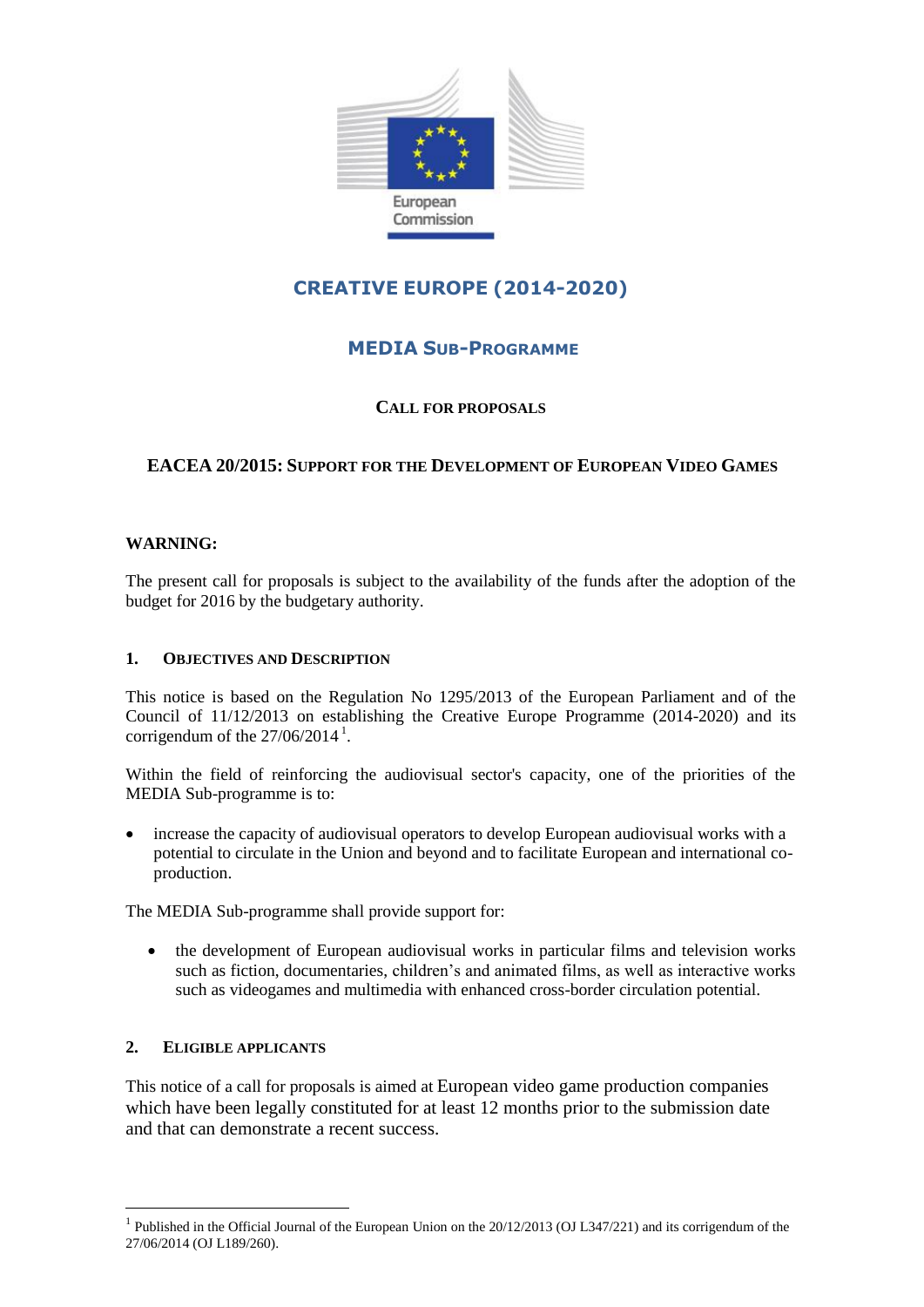

# **CREATIVE EUROPE (2014-2020)**

# **MEDIA SUB-PROGRAMME**

### **CALL FOR PROPOSALS**

## **EACEA 20/2015: SUPPORT FOR THE DEVELOPMENT OF EUROPEAN VIDEO GAMES**

#### **WARNING:**

The present call for proposals is subject to the availability of the funds after the adoption of the budget for 2016 by the budgetary authority.

#### **1. OBJECTIVES AND DESCRIPTION**

This notice is based on the Regulation No 1295/2013 of the European Parliament and of the Council of 11/12/2013 on establishing the Creative Europe Programme (2014-2020) and its corrigendum of the  $27/06/2014$ <sup>1</sup>.

Within the field of reinforcing the audiovisual sector's capacity, one of the priorities of the MEDIA Sub-programme is to:

 increase the capacity of audiovisual operators to develop European audiovisual works with a potential to circulate in the Union and beyond and to facilitate European and international coproduction.

The MEDIA Sub-programme shall provide support for:

 the development of European audiovisual works in particular films and television works such as fiction, documentaries, children's and animated films, as well as interactive works such as videogames and multimedia with enhanced cross-border circulation potential.

#### **2. ELIGIBLE APPLICANTS**

<u>.</u>

This notice of a call for proposals is aimed at European video game production companies which have been legally constituted for at least 12 months prior to the submission date and that can demonstrate a recent success.

<sup>&</sup>lt;sup>1</sup> Published in the Official Journal of the European Union on the 20/12/2013 (OJ L347/221) and its corrigendum of the 27/06/2014 (OJ L189/260).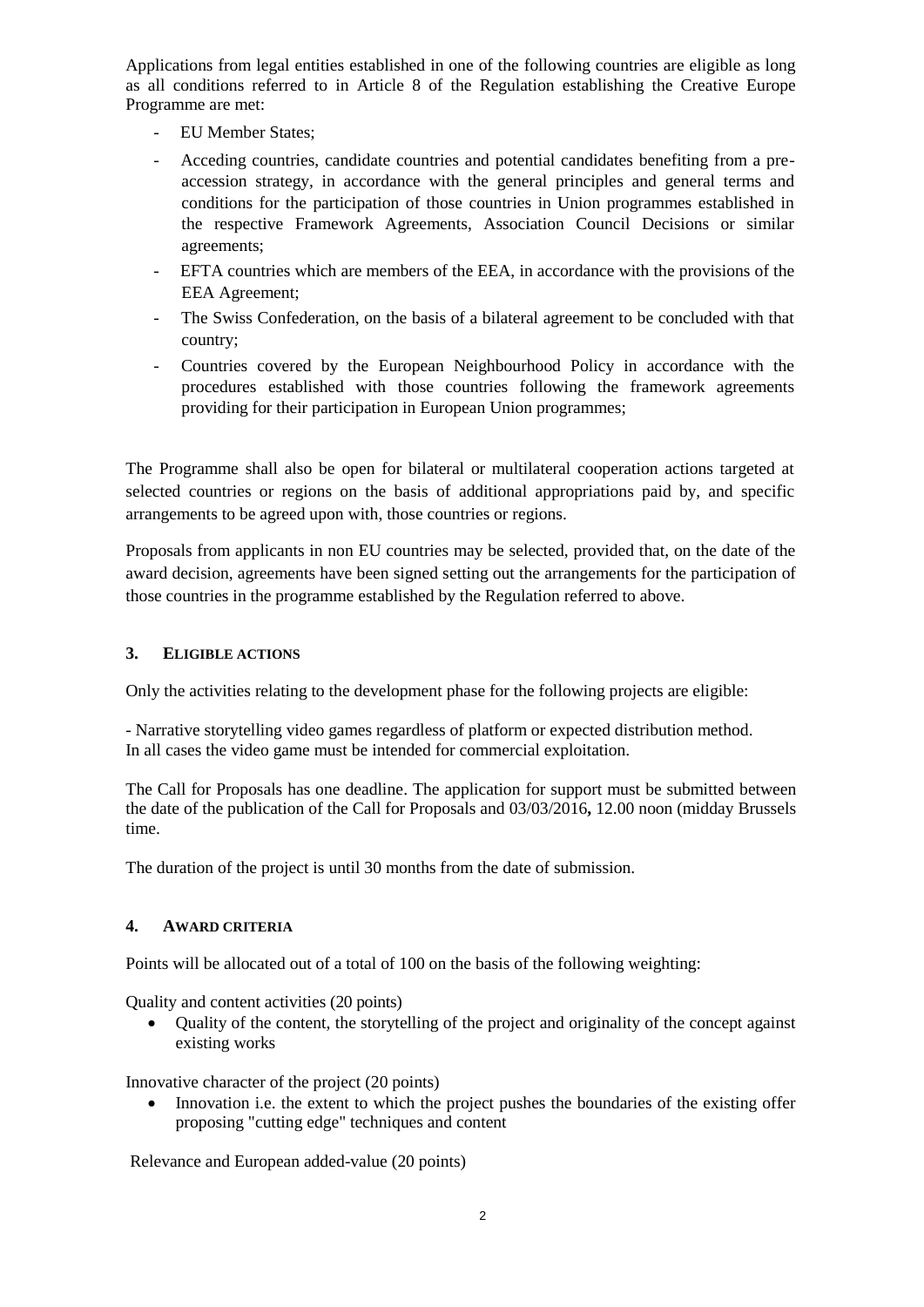Applications from legal entities established in one of the following countries are eligible as long as all conditions referred to in Article 8 of the Regulation establishing the Creative Europe Programme are met:

- EU Member States;
- Acceding countries, candidate countries and potential candidates benefiting from a preaccession strategy, in accordance with the general principles and general terms and conditions for the participation of those countries in Union programmes established in the respective Framework Agreements, Association Council Decisions or similar agreements;
- EFTA countries which are members of the EEA, in accordance with the provisions of the EEA Agreement;
- The Swiss Confederation, on the basis of a bilateral agreement to be concluded with that country;
- Countries covered by the European Neighbourhood Policy in accordance with the procedures established with those countries following the framework agreements providing for their participation in European Union programmes;

The Programme shall also be open for bilateral or multilateral cooperation actions targeted at selected countries or regions on the basis of additional appropriations paid by, and specific arrangements to be agreed upon with, those countries or regions.

Proposals from applicants in non EU countries may be selected, provided that, on the date of the award decision, agreements have been signed setting out the arrangements for the participation of those countries in the programme established by the Regulation referred to above.

#### **3. ELIGIBLE ACTIONS**

Only the activities relating to the development phase for the following projects are eligible:

- Narrative storytelling video games regardless of platform or expected distribution method. In all cases the video game must be intended for commercial exploitation.

The Call for Proposals has one deadline. The application for support must be submitted between the date of the publication of the Call for Proposals and 03/03/2016**,** 12.00 noon (midday Brussels time.

The duration of the project is until 30 months from the date of submission.

#### **4. AWARD CRITERIA**

Points will be allocated out of a total of 100 on the basis of the following weighting:

Quality and content activities (20 points)

 Quality of the content, the storytelling of the project and originality of the concept against existing works

Innovative character of the project (20 points)

• Innovation i.e. the extent to which the project pushes the boundaries of the existing offer proposing "cutting edge" techniques and content

Relevance and European added-value (20 points)